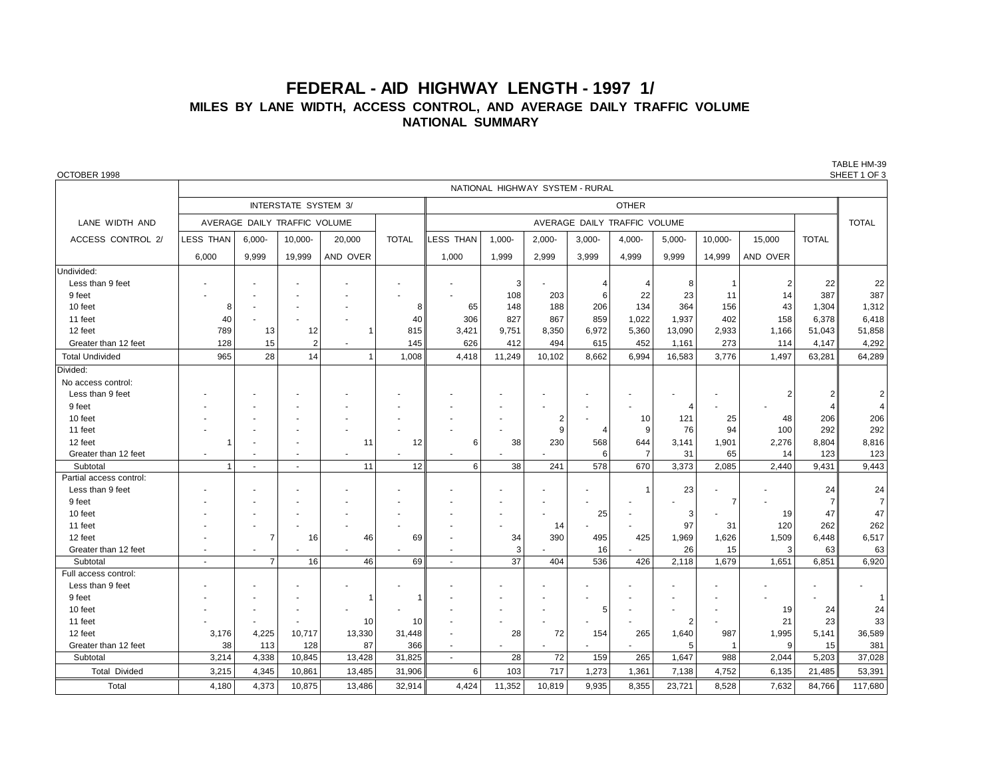## **FEDERAL - AID HIGHWAY LENGTH - 1997 1/ MILES BY LANE WIDTH, ACCESS CONTROL, AND AVERAGE DAILY TRAFFIC VOLUME NATIONAL SUMMARY**

| OCTOBER 1998            |                                 |                              |                             |          |              |                              |           |                |           |                          |                |         |                |              | SHEET 1 OF 3   |  |  |
|-------------------------|---------------------------------|------------------------------|-----------------------------|----------|--------------|------------------------------|-----------|----------------|-----------|--------------------------|----------------|---------|----------------|--------------|----------------|--|--|
|                         | NATIONAL HIGHWAY SYSTEM - RURAL |                              |                             |          |              |                              |           |                |           |                          |                |         |                |              |                |  |  |
|                         |                                 |                              | <b>INTERSTATE SYSTEM 3/</b> |          |              | <b>OTHER</b>                 |           |                |           |                          |                |         |                |              |                |  |  |
| LANE WIDTH AND          |                                 | AVERAGE DAILY TRAFFIC VOLUME |                             |          |              | AVERAGE DAILY TRAFFIC VOLUME |           |                |           |                          |                |         |                |              | <b>TOTAL</b>   |  |  |
| ACCESS CONTROL 2/       | <b>LESS THAN</b>                | $6,000 -$                    | 10,000-                     | 20,000   | <b>TOTAL</b> | LESS THAN                    | $1,000 -$ | $2,000 -$      | $3,000 -$ | 4,000-                   | $5,000-$       | 10,000- | 15,000         | <b>TOTAL</b> |                |  |  |
|                         | 6,000                           | 9,999                        | 19,999                      | AND OVER |              | 1,000                        | 1,999     | 2,999          | 3,999     | 4,999                    | 9,999          | 14,999  | AND OVER       |              |                |  |  |
| Undivided:              |                                 |                              |                             |          |              |                              |           |                |           |                          |                |         |                |              |                |  |  |
| Less than 9 feet        |                                 |                              |                             |          |              |                              | 3         |                |           | 4                        | 8              | -1      |                | 22           | 22             |  |  |
| 9 feet                  |                                 |                              |                             |          |              |                              | 108       | 203            | 6         | 22                       | 23             | 11      | 14             | 387          | 387            |  |  |
| 10 feet                 | 8                               |                              |                             |          | 8            | 65                           | 148       | 188            | 206       | 134                      | 364            | 156     | 43             | 1,304        | 1,312          |  |  |
| 11 feet                 | 40                              |                              |                             |          | 40           | 306                          | 827       | 867            | 859       | 1,022                    | 1,937          | 402     | 158            | 6,378        | 6,418          |  |  |
| 12 feet                 | 789                             | 13                           | 12                          | 1        | 815          | 3,421                        | 9,751     | 8,350          | 6,972     | 5,360                    | 13,090         | 2,933   | 1,166          | 51,043       | 51,858         |  |  |
| Greater than 12 feet    | 128                             | 15                           | $\overline{2}$              |          | 145          | 626                          | 412       | 494            | 615       | 452                      | 1,161          | 273     | 114            | 4,147        | 4,292          |  |  |
| <b>Total Undivided</b>  | 965                             | 28                           | 14                          | 1        | 1,008        | 4,418                        | 11,249    | 10,102         | 8,662     | 6,994                    | 16,583         | 3,776   | 1,497          | 63,281       | 64,289         |  |  |
| Divided:                |                                 |                              |                             |          |              |                              |           |                |           |                          |                |         |                |              |                |  |  |
| No access control:      |                                 |                              |                             |          |              |                              |           |                |           |                          |                |         |                |              |                |  |  |
| Less than 9 feet        |                                 |                              |                             |          |              |                              |           |                |           |                          |                |         | $\overline{2}$ | 2            | $\overline{2}$ |  |  |
| 9 feet                  |                                 |                              |                             |          |              |                              |           |                |           | $\overline{\phantom{a}}$ | 4              |         |                |              | $\Delta$       |  |  |
| 10 feet                 |                                 |                              |                             |          |              |                              |           | $\overline{c}$ |           | 10                       | 121            | 25      | 48             | 206          | 206            |  |  |
| 11 feet                 |                                 |                              |                             |          |              |                              |           | 9              |           | 9                        | 76             | 94      | 100            | 292          | 292            |  |  |
| 12 feet                 | $\mathbf 1$                     |                              |                             | 11       | 12           | 6                            | 38        | 230            | 568       | 644                      | 3,141          | 1,901   | 2,276          | 8,804        | 8,816          |  |  |
| Greater than 12 feet    | ×                               |                              |                             |          |              |                              |           |                | 6         | $\overline{7}$           | 31             | 65      | 14             | 123          | 123            |  |  |
| Subtotal                | $\mathbf{1}$                    | $\sim$                       | $\sim$                      | 11       | 12           | 6                            | 38        | 241            | 578       | 670                      | 3,373          | 2,085   | 2,440          | 9,431        | 9,443          |  |  |
| Partial access control: |                                 |                              |                             |          |              |                              |           |                |           |                          |                |         |                |              |                |  |  |
| Less than 9 feet        |                                 |                              |                             |          |              |                              |           |                |           |                          | 23             |         |                | 24           | 24             |  |  |
| 9 feet                  |                                 |                              |                             |          |              |                              |           |                | ÷         |                          | ä,             |         |                | 7            | $\overline{7}$ |  |  |
| 10 feet                 |                                 |                              |                             |          |              |                              |           |                | 25        |                          | 3              |         | 19             | 47           | 47             |  |  |
| 11 feet                 |                                 |                              |                             |          |              |                              |           | 14             |           |                          | 97             | 31      | 120            | 262          | 262            |  |  |
| 12 feet                 |                                 | 7                            | 16                          | 46       | 69           |                              | 34        | 390            | 495       | 425                      | 1,969          | 1,626   | 1,509          | 6,448        | 6,517          |  |  |
| Greater than 12 feet    | ×                               |                              |                             |          |              | ٠                            | 3         |                | 16        |                          | 26             | 15      | 3              | 63           | 63             |  |  |
| Subtotal                | $\sim$                          | $\overline{7}$               | 16                          | 46       | 69           | $\overline{a}$               | 37        | 404            | 536       | 426                      | 2,118          | 1,679   | 1,651          | 6,851        | 6,920          |  |  |
| Full access control:    |                                 |                              |                             |          |              |                              |           |                |           |                          |                |         |                |              |                |  |  |
| Less than 9 feet        |                                 |                              |                             |          |              |                              |           |                |           |                          |                |         |                |              |                |  |  |
| 9 feet                  |                                 |                              |                             | 1        | -1           |                              |           |                | ٠         |                          |                |         |                |              |                |  |  |
| 10 feet                 |                                 |                              |                             |          |              |                              |           |                | 5         |                          |                | ÷       | 19             | 24           | 24             |  |  |
| 11 feet                 |                                 |                              |                             | 10       | 10           |                              |           |                |           |                          | $\overline{2}$ |         | 21             | 23           | 33             |  |  |
| 12 feet                 | 3,176                           | 4,225                        | 10,717                      | 13,330   | 31,448       |                              | 28        | 72             | 154       | 265                      | 1,640          | 987     | 1,995          | 5,141        | 36,589         |  |  |
| Greater than 12 feet    | 38                              | 113                          | 128                         | 87       | 366          | $\blacksquare$               |           |                |           |                          | 5              |         | 9              | 15           | 381            |  |  |
| Subtotal                | 3,214                           | 4,338                        | 10,845                      | 13,428   | 31,825       | $\blacksquare$               | 28        | 72             | 159       | 265                      | 1,647          | 988     | 2,044          | 5.203        | 37,028         |  |  |
| <b>Total Divided</b>    | 3,215                           | 4,345                        | 10,861                      | 13,485   | 31,906       | 6                            | 103       | 717            | 1,273     | 1,361                    | 7,138          | 4,752   | 6,135          | 21,485       | 53,391         |  |  |
| Total                   | 4,180                           | 4,373                        | 10,875                      | 13,486   | 32.914       | 4,424                        | 11,352    | 10,819         | 9,935     | 8,355                    | 23,721         | 8,528   | 7,632          | 84,766       | 117,680        |  |  |

TABLE HM-39<br>SHEFT 1 OF 3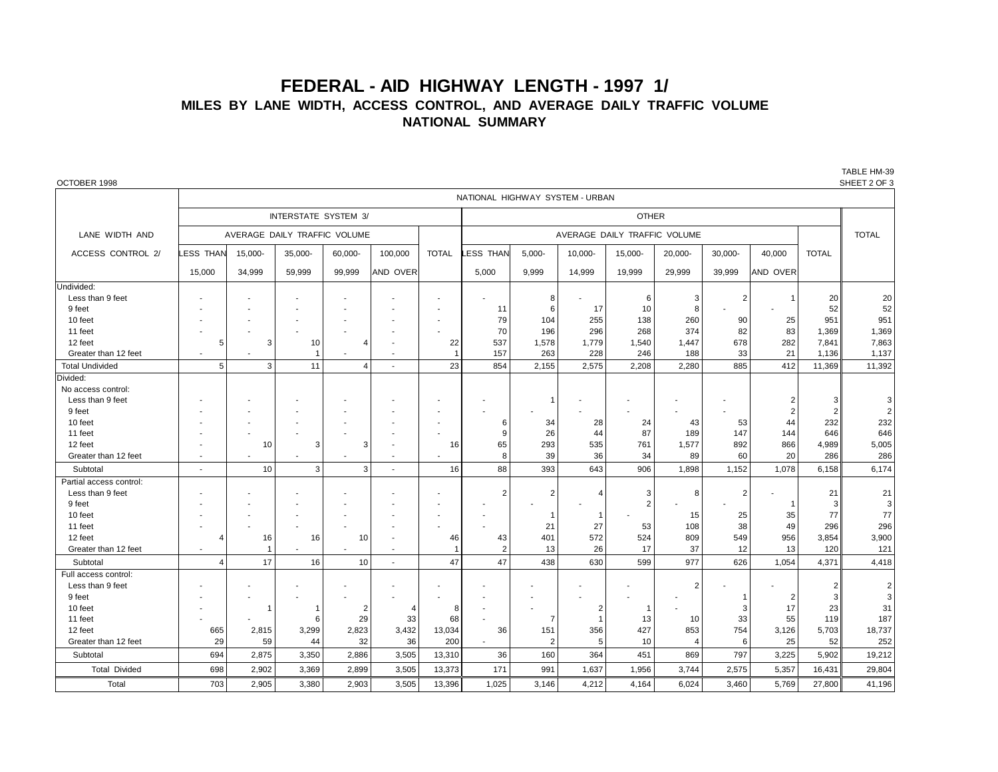## **FEDERAL - AID HIGHWAY LENGTH - 1997 1/ MILES BY LANE WIDTH, ACCESS CONTROL, AND AVERAGE DAILY TRAFFIC VOLUME NATIONAL SUMMARY**

| OCTOBER 1998            |                          |                                 |                              |                          |                          |                |                 |                |                |                |                |                |                |              | SHEET 2 OF 3 |
|-------------------------|--------------------------|---------------------------------|------------------------------|--------------------------|--------------------------|----------------|-----------------|----------------|----------------|----------------|----------------|----------------|----------------|--------------|--------------|
|                         |                          | NATIONAL HIGHWAY SYSTEM - URBAN |                              |                          |                          |                |                 |                |                |                |                |                |                |              |              |
|                         |                          |                                 | INTERSTATE SYSTEM 3/         |                          |                          |                | <b>OTHER</b>    |                |                |                |                |                |                |              |              |
| LANE WIDTH AND          |                          |                                 | AVERAGE DAILY TRAFFIC VOLUME |                          |                          |                |                 |                |                | <b>TOTAL</b>   |                |                |                |              |              |
| ACCESS CONTROL 2/       | <b>LESS THAN</b>         | 15,000-                         | $35,000-$                    | 60,000-                  | 100,000                  | TOTAL          | <b>ESS THAN</b> | $5,000 -$      | 10,000-        | 15,000-        | 20,000-        | 30,000-        | 40,000         | <b>TOTAL</b> |              |
|                         | 15,000                   | 34,999                          | 59,999                       | 99,999                   | AND OVER                 |                | 5,000           | 9,999          | 14,999         | 19,999         | 29,999         | 39,999         | AND OVER       |              |              |
| Undivided:              |                          |                                 |                              |                          |                          |                |                 |                |                |                |                |                |                |              |              |
| Less than 9 feet        |                          |                                 |                              |                          |                          |                |                 | 8              |                | 6              | 3              | $\overline{2}$ |                | 20           | 20           |
| 9 feet                  |                          |                                 |                              |                          |                          |                | 11              | 6              | 17             | 10             | 8              |                |                | 52           | 52           |
| 10 feet                 |                          |                                 |                              |                          |                          |                | 79              | 104            | 255            | 138            | 260            | 90             | 25             | 951          | 951          |
| 11 feet                 |                          |                                 |                              |                          |                          |                | 70              | 196            | 296            | 268            | 374            | 82             | 83             | 1,369        | 1,369        |
| 12 feet                 | 5                        | 3                               | 10                           | $\overline{4}$           |                          | 22             | 537             | 1,578          | 1,779          | 1,540          | 1,447          | 678            | 282            | 7,841        | 7,863        |
| Greater than 12 feet    | $\overline{\phantom{a}}$ | ÷                               | $\overline{1}$               | ٠                        | $\overline{\phantom{a}}$ | $\overline{1}$ | 157             | 263            | 228            | 246            | 188            | 33             | 21             | 1,136        | 1,137        |
| <b>Total Undivided</b>  | 5                        | 3                               | 11                           | $\overline{\mathcal{A}}$ | $\blacksquare$           | 23             | 854             | 2,155          | 2,575          | 2,208          | 2,280          | 885            | 412            | 11,369       | 11,392       |
| Divided:                |                          |                                 |                              |                          |                          |                |                 |                |                |                |                |                |                |              |              |
| No access control:      |                          |                                 |                              |                          |                          |                |                 |                |                |                |                |                |                |              |              |
| Less than 9 feet        |                          |                                 |                              |                          |                          |                |                 | -1             |                |                |                |                |                | 3            | 3            |
| 9 feet                  |                          |                                 |                              |                          |                          |                |                 |                |                |                |                |                | $\overline{2}$ | 2            | $\sqrt{2}$   |
| 10 feet                 |                          |                                 |                              |                          |                          |                | 6               | 34             | 28             | 24             | 43             | 53             | 44             | 232          | 232          |
| 11 feet                 |                          |                                 |                              |                          |                          |                | 9               | 26             | 44             | 87             | 189            | 147            | 144            | 646          | 646          |
| 12 feet                 |                          | 10                              | 3                            | 3                        |                          | 16             | 65              | 293            | 535            | 761            | 1,577          | 892            | 866            | 4,989        | 5,005        |
| Greater than 12 feet    | $\blacksquare$           | $\overline{\phantom{a}}$        | ٠                            |                          | $\blacksquare$           |                | 8               | 39             | 36             | 34             | 89             | 60             | 20             | 286          | 286          |
| Subtotal                | $\blacksquare$           | 10                              | 3                            | 3                        |                          | 16             | 88              | 393            | 643            | 906            | 1,898          | 1,152          | 1.078          | 6,158        | 6,174        |
| Partial access control: |                          |                                 |                              |                          |                          |                |                 |                |                |                |                |                |                |              |              |
| Less than 9 feet        |                          |                                 |                              |                          |                          |                | $\overline{2}$  | $\overline{2}$ | $\Delta$       | 3              | 8              | $\overline{2}$ |                | 21           | 21           |
| 9 feet                  |                          |                                 |                              |                          |                          |                |                 |                |                | $\overline{2}$ |                |                |                | 3            | 3            |
| 10 feet                 |                          |                                 |                              |                          |                          |                |                 | $\mathbf{1}$   | $\overline{1}$ |                | 15             | 25             | 35             | 77           | 77           |
| 11 feet                 |                          |                                 |                              |                          |                          |                |                 | 21             | 27             | 53             | 108            | 38             | 49             | 296          | 296          |
| 12 feet                 | 4                        | 16                              | 16                           | 10                       |                          | 46             | 43              | 401            | 572            | 524            | 809            | 549            | 956            | 3,854        | 3,900        |
| Greater than 12 feet    |                          | $\overline{1}$                  |                              |                          | ÷                        | -1             | $\overline{2}$  | 13             | 26             | 17             | 37             | 12             | 13             | 120          | 121          |
| Subtotal                | 4                        | 17                              | 16                           | 10                       |                          | 47             | 47              | 438            | 630            | 599            | 977            | 626            | 1,054          | 4,371        | 4,418        |
| Full access control:    |                          |                                 |                              |                          |                          |                |                 |                |                |                |                |                |                |              |              |
| Less than 9 feet        |                          |                                 |                              |                          |                          |                |                 |                |                |                | $\overline{2}$ |                |                | 2            | 2            |
| 9 feet                  |                          |                                 |                              |                          |                          |                |                 |                |                |                |                |                | $\overline{2}$ | 3            | $\mathsf 3$  |
| 10 feet                 |                          | $\mathbf 1$                     | 1                            | 2                        |                          | 8              |                 |                | $\overline{2}$ | $\mathbf 1$    |                | 3              | 17             | 23           | 31           |
| 11 feet                 |                          |                                 | 6                            | 29                       | 33                       | 68             |                 | $\overline{7}$ | $\overline{1}$ | 13             | 10             | 33             | 55             | 119          | 187          |
| 12 feet                 | 665                      | 2,815                           | 3,299                        | 2,823                    | 3,432                    | 13,034         | 36              | 151            | 356            | 427            | 853            | 754            | 3,126          | 5,703        | 18,737       |
| Greater than 12 feet    | 29                       | 59                              | 44                           | 32                       | 36                       | 200            |                 | $\overline{2}$ | 5              | 10             | $\overline{4}$ | 6              | 25             | 52           | 252          |
| Subtotal                | 694                      | 2,875                           | 3,350                        | 2,886                    | 3,505                    | 13,310         | 36              | 160            | 364            | 451            | 869            | 797            | 3,225          | 5,902        | 19,212       |
| <b>Total Divided</b>    | 698                      | 2,902                           | 3,369                        | 2,899                    | 3,505                    | 13,373         | 171             | 991            | 1,637          | 1,956          | 3.744          | 2,575          | 5,357          | 16,431       | 29,804       |
| Total                   | 703                      | 2,905                           | 3,380                        | 2,903                    | 3,505                    | 13,396         | 1.025           | 3.146          | 4,212          | 4.164          | 6.024          | 3,460          | 5.769          | 27.800       | 41,196       |

TABLE HM-39